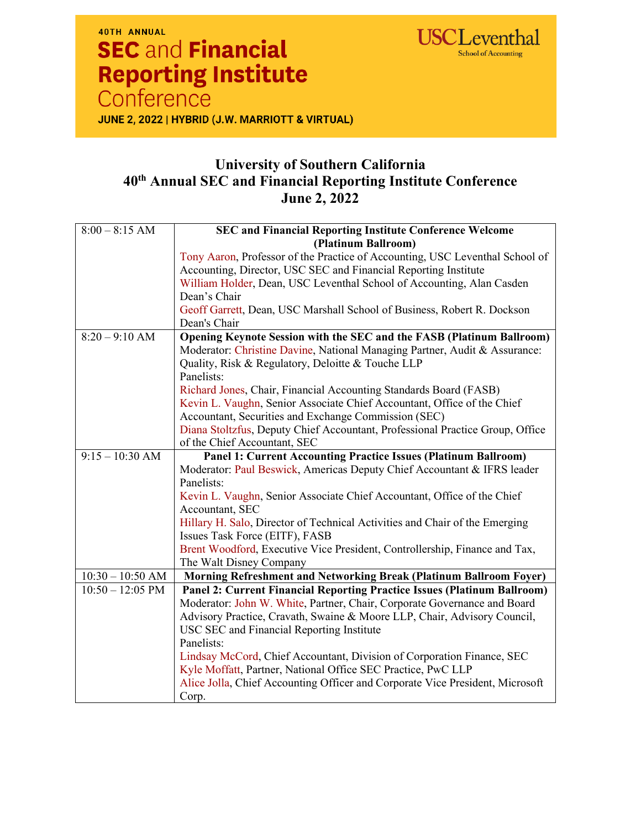

## 40TH ANNUAL **SEC and Financial Reporting Institute** Conference

JUNE 2, 2022 | HYBRID (J.W. MARRIOTT & VIRTUAL)

## **University of Southern California 40th Annual SEC and Financial Reporting Institute Conference June 2, 2022**

| $8:00 - 8:15$ AM   | <b>SEC and Financial Reporting Institute Conference Welcome</b>               |
|--------------------|-------------------------------------------------------------------------------|
|                    | (Platinum Ballroom)                                                           |
|                    | Tony Aaron, Professor of the Practice of Accounting, USC Leventhal School of  |
|                    | Accounting, Director, USC SEC and Financial Reporting Institute               |
|                    | William Holder, Dean, USC Leventhal School of Accounting, Alan Casden         |
|                    | Dean's Chair                                                                  |
|                    | Geoff Garrett, Dean, USC Marshall School of Business, Robert R. Dockson       |
|                    | Dean's Chair                                                                  |
| $8:20 - 9:10$ AM   | Opening Keynote Session with the SEC and the FASB (Platinum Ballroom)         |
|                    | Moderator: Christine Davine, National Managing Partner, Audit & Assurance:    |
|                    | Quality, Risk & Regulatory, Deloitte & Touche LLP                             |
|                    | Panelists:                                                                    |
|                    | Richard Jones, Chair, Financial Accounting Standards Board (FASB)             |
|                    | Kevin L. Vaughn, Senior Associate Chief Accountant, Office of the Chief       |
|                    | Accountant, Securities and Exchange Commission (SEC)                          |
|                    | Diana Stoltzfus, Deputy Chief Accountant, Professional Practice Group, Office |
|                    | of the Chief Accountant, SEC                                                  |
| $9:15 - 10:30$ AM  | <b>Panel 1: Current Accounting Practice Issues (Platinum Ballroom)</b>        |
|                    | Moderator: Paul Beswick, Americas Deputy Chief Accountant & IFRS leader       |
|                    | Panelists:                                                                    |
|                    | Kevin L. Vaughn, Senior Associate Chief Accountant, Office of the Chief       |
|                    | Accountant, SEC                                                               |
|                    | Hillary H. Salo, Director of Technical Activities and Chair of the Emerging   |
|                    | Issues Task Force (EITF), FASB                                                |
|                    | Brent Woodford, Executive Vice President, Controllership, Finance and Tax,    |
|                    | The Walt Disney Company                                                       |
| $10:30 - 10:50$ AM | Morning Refreshment and Networking Break (Platinum Ballroom Foyer)            |
| $10:50 - 12:05$ PM | Panel 2: Current Financial Reporting Practice Issues (Platinum Ballroom)      |
|                    | Moderator: John W. White, Partner, Chair, Corporate Governance and Board      |
|                    | Advisory Practice, Cravath, Swaine & Moore LLP, Chair, Advisory Council,      |
|                    | USC SEC and Financial Reporting Institute                                     |
|                    | Panelists:                                                                    |
|                    | Lindsay McCord, Chief Accountant, Division of Corporation Finance, SEC        |
|                    | Kyle Moffatt, Partner, National Office SEC Practice, PwC LLP                  |
|                    | Alice Jolla, Chief Accounting Officer and Corporate Vice President, Microsoft |
|                    | Corp.                                                                         |